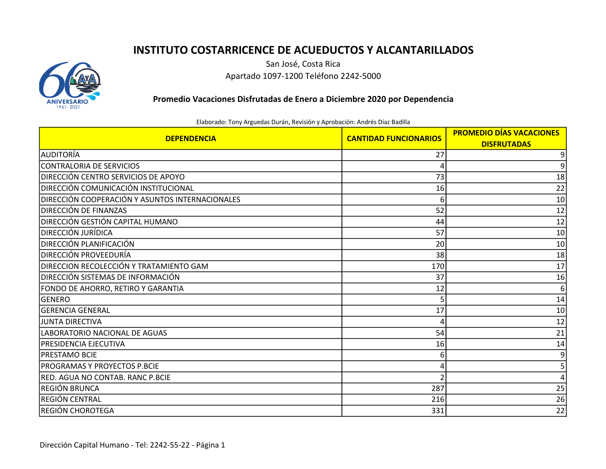## INSTITUTO COSTARRICENCE DE ACUEDUCTOS Y ALCANTARILLADOS



San José, Costa Rica Apartado 1097-1200 Teléfono 2242-5000

Promedio Vacaciones Disfrutadas de Enero a Diciembre 2020 por Dependencia

Elaborado: Tony Arguedas Durán, Revisión y Aprobación: Andrés Díaz Badilla

| <b>DEPENDENCIA</b>                              | <b>CANTIDAD FUNCIONARIOS</b> | <b>PROMEDIO DÍAS VACACIONES</b> |
|-------------------------------------------------|------------------------------|---------------------------------|
|                                                 |                              | <b>DISFRUTADAS</b>              |
| Iauditoría                                      | 27                           | 9                               |
| CONTRALORIA DE SERVICIOS                        |                              | 9                               |
| DIRECCIÓN CENTRO SERVICIOS DE APOYO             | 73                           | 18                              |
| <b>DIRECCIÓN COMUNICACIÓN INSTITUCIONAL</b>     | 16                           | 22                              |
| DIRECCIÓN COOPERACIÓN Y ASUNTOS INTERNACIONALES | 6                            | 10                              |
| DIRECCIÓN DE FINANZAS                           | 52                           | 12                              |
| DIRECCIÓN GESTIÓN CAPITAL HUMANO                | 44                           | 12                              |
| <b>DIRECCIÓN JURÍDICA</b>                       | 57                           | 10                              |
| DIRECCIÓN PLANIFICACIÓN                         | 20                           | 10                              |
| DIRECCIÓN PROVEEDURÍA                           | 38                           | 18                              |
| DIRECCION RECOLECCIÓN Y TRATAMIENTO GAM         | 170                          | 17                              |
| DIRECCIÓN SISTEMAS DE INFORMACIÓN               | 37                           | 16                              |
| FONDO DE AHORRO, RETIRO Y GARANTIA              | 12                           | 6                               |
| <b>GENERO</b>                                   | 5                            | 14                              |
| lGERENCIA GENERAL                               | 17                           | 10                              |
| <b>JUNTA DIRECTIVA</b>                          | Δ                            | 12                              |
| LABORATORIO NACIONAL DE AGUAS                   | 54                           | 21                              |
| <b>PRESIDENCIA EJECUTIVA</b>                    | 16                           | 14                              |
| <b>PRESTAMO BCIE</b>                            | 6                            | 9                               |
| PROGRAMAS Y PROYECTOS P.BCIE                    |                              | 5                               |
| RED. AGUA NO CONTAB. RANC P.BCIE                |                              |                                 |
| REGIÓN BRUNCA                                   | 287                          | 25                              |
| REGIÓN CENTRAL                                  | 216                          | 26                              |
| REGIÓN CHOROTEGA                                | 331                          | 22                              |